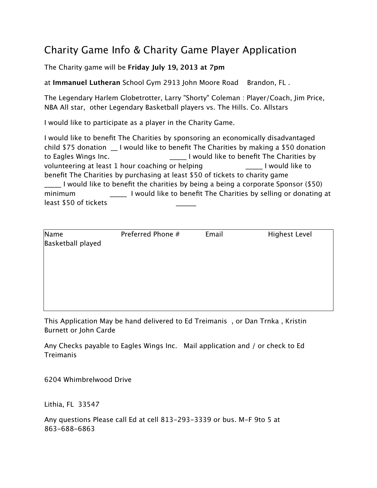## Charity Game Info & Charity Game Player Application

The Charity game will be **Friday July 19, 2013 at 7pm**

at **Immanuel Lutheran** School Gym 2913 John Moore Road Brandon, FL .

The Legendary Harlem Globetrotter, Larry "Shorty" Coleman : Player/Coach, Jim Price, NBA All star, other Legendary Basketball players vs. The Hills. Co. Allstars

I would like to participate as a player in the Charity Game.

I would like to benefit The Charities by sponsoring an economically disadvantaged child  $$75$  donation I would like to benefit The Charities by making a  $$50$  donation to Eagles Wings Inc. The Charities by The Charities by The Charities by The Charities by volunteering at least 1 hour coaching or helping \_\_\_\_\_ I would like to benefit The Charities by purchasing at least \$50 of tickets to charity game \_\_\_\_\_ I would like to benefit the charities by being a being a corporate Sponsor (\$50) minimum **I** would like to benefit The Charities by selling or donating at least \$50 of tickets

| Name              | Preferred Phone # | Email | <b>Highest Level</b> |
|-------------------|-------------------|-------|----------------------|
| Basketball played |                   |       |                      |
|                   |                   |       |                      |
|                   |                   |       |                      |
|                   |                   |       |                      |
|                   |                   |       |                      |
|                   |                   |       |                      |

This Application May be hand delivered to Ed Treimanis , or Dan Trnka , Kristin Burnett or John Carde

Any Checks payable to Eagles Wings Inc. Mail application and / or check to Ed Treimanis

6204 Whimbrelwood Drive

Lithia, FL 33547

Any questions Please call Ed at cell 813-293-3339 or bus. M-F 9to 5 at 863-688-6863